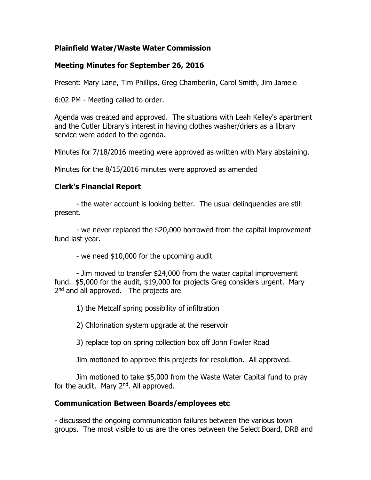#### **Plainfield Water/Waste Water Commission**

#### **Meeting Minutes for September 26, 2016**

Present: Mary Lane, Tim Phillips, Greg Chamberlin, Carol Smith, Jim Jamele

6:02 PM - Meeting called to order.

Agenda was created and approved. The situations with Leah Kelley's apartment and the Cutler Library's interest in having clothes washer/driers as a library service were added to the agenda.

Minutes for 7/18/2016 meeting were approved as written with Mary abstaining.

Minutes for the 8/15/2016 minutes were approved as amended

## **Clerk's Financial Report**

- the water account is looking better. The usual delinquencies are still present.

- we never replaced the \$20,000 borrowed from the capital improvement fund last year.

- we need \$10,000 for the upcoming audit

- Jim moved to transfer \$24,000 from the water capital improvement fund. \$5,000 for the audit, \$19,000 for projects Greg considers urgent. Mary 2<sup>nd</sup> and all approved. The projects are

1) the Metcalf spring possibility of infiltration

2) Chlorination system upgrade at the reservoir

3) replace top on spring collection box off John Fowler Road

Jim motioned to approve this projects for resolution. All approved.

Jim motioned to take \$5,000 from the Waste Water Capital fund to pray for the audit. Mary  $2^{nd}$ . All approved.

## **Communication Between Boards/employees etc**

- discussed the ongoing communication failures between the various town groups. The most visible to us are the ones between the Select Board, DRB and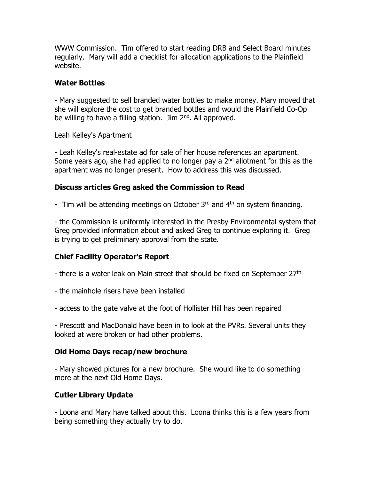WWW Commission. Tim offered to start reading DRB and Select Board minutes regularly. Mary will add a checklist for allocation applications to the Plainfield website.

#### **Water Bottles**

- Mary suggested to sell branded water bottles to make money. Mary moved that she will explore the cost to get branded bottles and would the Plainfield Co-Op be willing to have a filling station. Jim  $2<sup>nd</sup>$ . All approved.

Leah Kelley's Apartment

- Leah Kelley's real-estate ad for sale of her house references an apartment. Some years ago, she had applied to no longer pay a  $2<sup>nd</sup>$  allotment for this as the apartment was no longer present. How to address this was discussed.

## **Discuss articles Greg asked the Commission to Read**

**-** Tim will be attending meetings on October 3rd and 4th on system financing.

- the Commission is uniformly interested in the Presby Environmental system that Greg provided information about and asked Greg to continue exploring it. Greg is trying to get preliminary approval from the state.

# **Chief Facility Operator's Report**

- there is a water leak on Main street that should be fixed on September 27<sup>th</sup>

- the mainhole risers have been installed
- access to the gate valve at the foot of Hollister Hill has been repaired

- Prescott and MacDonald have been in to look at the PVRs. Several units they looked at were broken or had other problems.

## **Old Home Days recap/new brochure**

- Mary showed pictures for a new brochure. She would like to do something more at the next Old Home Days.

## **Cutler Library Update**

- Loona and Mary have talked about this. Loona thinks this is a few years from being something they actually try to do.